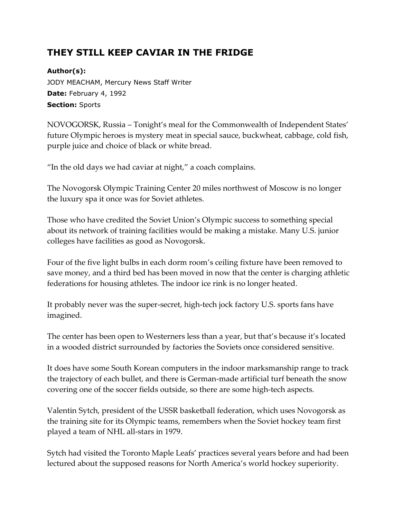## **THEY STILL KEEP CAVIAR IN THE FRIDGE**

**Author(s):**

JODY MEACHAM, Mercury News Staff Writer **Date:** February 4, 1992 **Section:** Sports

NOVOGORSK, Russia – Tonight's meal for the Commonwealth of Independent States' future Olympic heroes is mystery meat in special sauce, buckwheat, cabbage, cold fish, purple juice and choice of black or white bread.

"In the old days we had caviar at night," a coach complains.

The Novogorsk Olympic Training Center 20 miles northwest of Moscow is no longer the luxury spa it once was for Soviet athletes.

Those who have credited the Soviet Union's Olympic success to something special about its network of training facilities would be making a mistake. Many U.S. junior colleges have facilities as good as Novogorsk.

Four of the five light bulbs in each dorm room's ceiling fixture have been removed to save money, and a third bed has been moved in now that the center is charging athletic federations for housing athletes. The indoor ice rink is no longer heated.

It probably never was the super-secret, high-tech jock factory U.S. sports fans have imagined.

The center has been open to Westerners less than a year, but that's because it's located in a wooded district surrounded by factories the Soviets once considered sensitive.

It does have some South Korean computers in the indoor marksmanship range to track the trajectory of each bullet, and there is German-made artificial turf beneath the snow covering one of the soccer fields outside, so there are some high-tech aspects.

Valentin Sytch, president of the USSR basketball federation, which uses Novogorsk as the training site for its Olympic teams, remembers when the Soviet hockey team first played a team of NHL all-stars in 1979.

Sytch had visited the Toronto Maple Leafs' practices several years before and had been lectured about the supposed reasons for North America's world hockey superiority.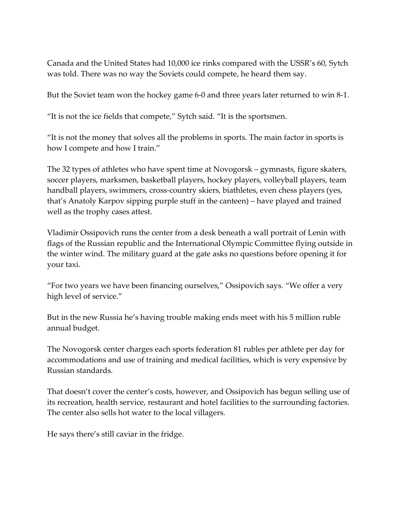Canada and the United States had 10,000 ice rinks compared with the USSR's 60, Sytch was told. There was no way the Soviets could compete, he heard them say.

But the Soviet team won the hockey game 6-0 and three years later returned to win 8-1.

"It is not the ice fields that compete," Sytch said. "It is the sportsmen.

"It is not the money that solves all the problems in sports. The main factor in sports is how I compete and how I train."

The 32 types of athletes who have spent time at Novogorsk – gymnasts, figure skaters, soccer players, marksmen, basketball players, hockey players, volleyball players, team handball players, swimmers, cross-country skiers, biathletes, even chess players (yes, that's Anatoly Karpov sipping purple stuff in the canteen) – have played and trained well as the trophy cases attest.

Vladimir Ossipovich runs the center from a desk beneath a wall portrait of Lenin with flags of the Russian republic and the International Olympic Committee flying outside in the winter wind. The military guard at the gate asks no questions before opening it for your taxi.

"For two years we have been financing ourselves," Ossipovich says. "We offer a very high level of service."

But in the new Russia he's having trouble making ends meet with his 5 million ruble annual budget.

The Novogorsk center charges each sports federation 81 rubles per athlete per day for accommodations and use of training and medical facilities, which is very expensive by Russian standards.

That doesn't cover the center's costs, however, and Ossipovich has begun selling use of its recreation, health service, restaurant and hotel facilities to the surrounding factories. The center also sells hot water to the local villagers.

He says there's still caviar in the fridge.